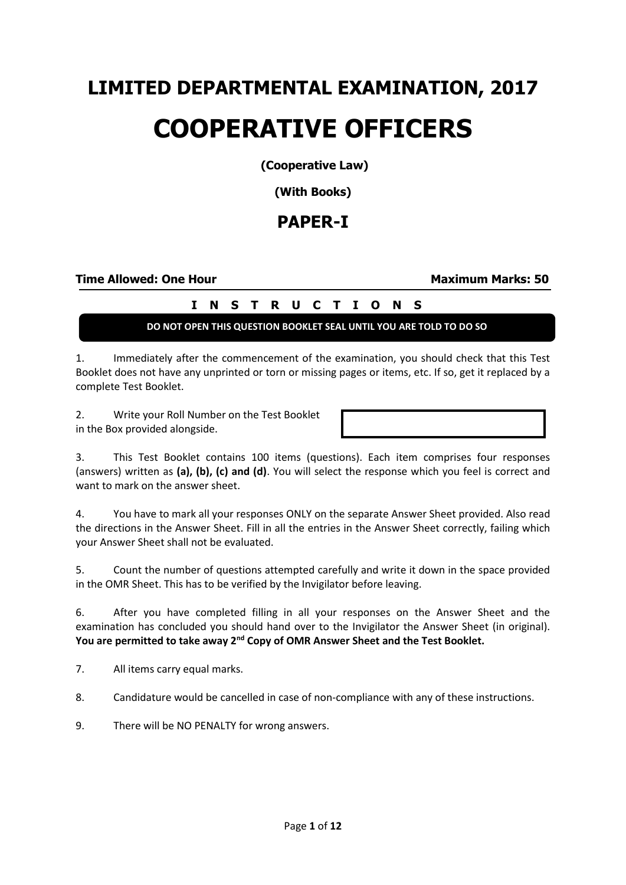# **LIMITED DEPARTMENTAL EXAMINATION, 2017 COOPERATIVE OFFICERS**

**(Cooperative Law)**

**(With Books)**

# **PAPER-I**

### **Time Allowed: One Hour Maximum Marks: 50**

# **I N S T R U C T I O N S**

## **DO NOT OPEN THIS QUESTION BOOKLET SEAL UNTIL YOU ARE TOLD TO DO SO**

1. Immediately after the commencement of the examination, you should check that this Test Booklet does not have any unprinted or torn or missing pages or items, etc. If so, get it replaced by a complete Test Booklet.

2. Write your Roll Number on the Test Booklet in the Box provided alongside.

3. This Test Booklet contains 100 items (questions). Each item comprises four responses (answers) written as **(a), (b), (c) and (d)**. You will select the response which you feel is correct and want to mark on the answer sheet.

4. You have to mark all your responses ONLY on the separate Answer Sheet provided. Also read the directions in the Answer Sheet. Fill in all the entries in the Answer Sheet correctly, failing which your Answer Sheet shall not be evaluated.

5. Count the number of questions attempted carefully and write it down in the space provided in the OMR Sheet. This has to be verified by the Invigilator before leaving.

6. After you have completed filling in all your responses on the Answer Sheet and the examination has concluded you should hand over to the Invigilator the Answer Sheet (in original). **You are permitted to take away 2nd Copy of OMR Answer Sheet and the Test Booklet.**

7. All items carry equal marks.

8. Candidature would be cancelled in case of non-compliance with any of these instructions.

9. There will be NO PENALTY for wrong answers.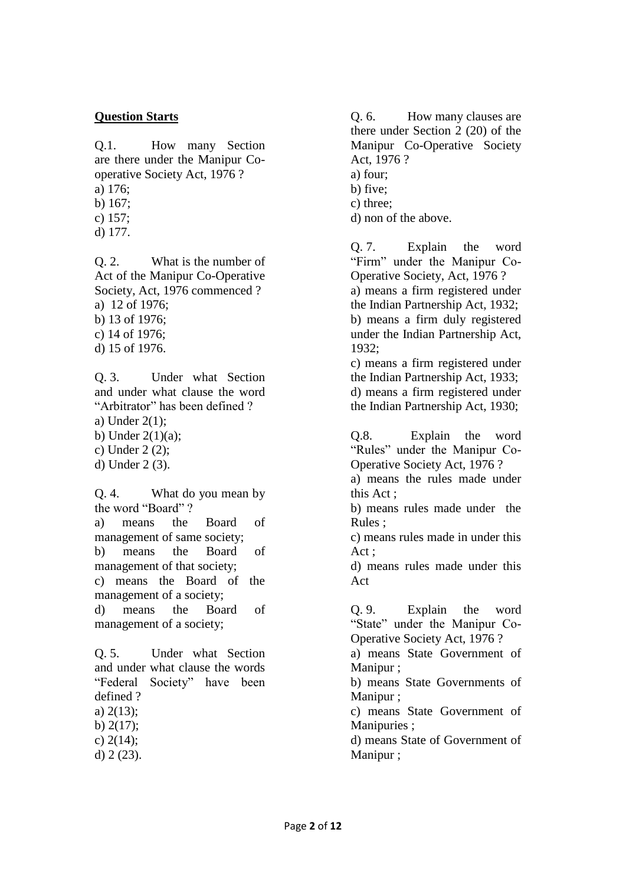### **Question Starts**

Q.1. How many Section are there under the Manipur Cooperative Society Act, 1976 ? a) 176;

- 
- b) 167;
- c) 157; d) 177.

Q. 2. What is the number of Act of the Manipur Co-Operative Society, Act, 1976 commenced ? a) 12 of 1976; b) 13 of 1976; c) 14 of 1976;

d) 15 of 1976.

Q. 3. Under what Section and under what clause the word "Arbitrator" has been defined ?

a) Under 2(1);

- b) Under  $2(1)(a)$ ;
- c) Under 2 (2);
- d) Under 2 (3).

Q. 4. What do you mean by the word "Board" ?

a) means the Board of management of same society; b) means the Board of management of that society;

c) means the Board of the management of a society;

d) means the Board of management of a society;

Q. 5. Under what Section and under what clause the words "Federal Society" have been defined ?

- a) 2(13);
- b)  $2(17)$ ;
- c) 2(14);
- d) 2 (23).

Q. 6. How many clauses are there under Section 2 (20) of the Manipur Co-Operative Society Act, 1976 ? a) four;

- b) five;
- c) three;
- d) non of the above.

Q. 7. Explain the word "Firm" under the Manipur Co-Operative Society, Act, 1976 ? a) means a firm registered under the Indian Partnership Act, 1932; b) means a firm duly registered under the Indian Partnership Act, 1932;

c) means a firm registered under the Indian Partnership Act, 1933; d) means a firm registered under the Indian Partnership Act, 1930;

Q.8. Explain the word "Rules" under the Manipur Co-Operative Society Act, 1976 ?

a) means the rules made under this Act ;

b) means rules made under the Rules ;

c) means rules made in under this Act ;

d) means rules made under this Act

Q. 9. Explain the word "State" under the Manipur Co-Operative Society Act, 1976 ?

a) means State Government of Manipur ;

b) means State Governments of Manipur :

c) means State Government of Manipuries ;

d) means State of Government of Manipur ;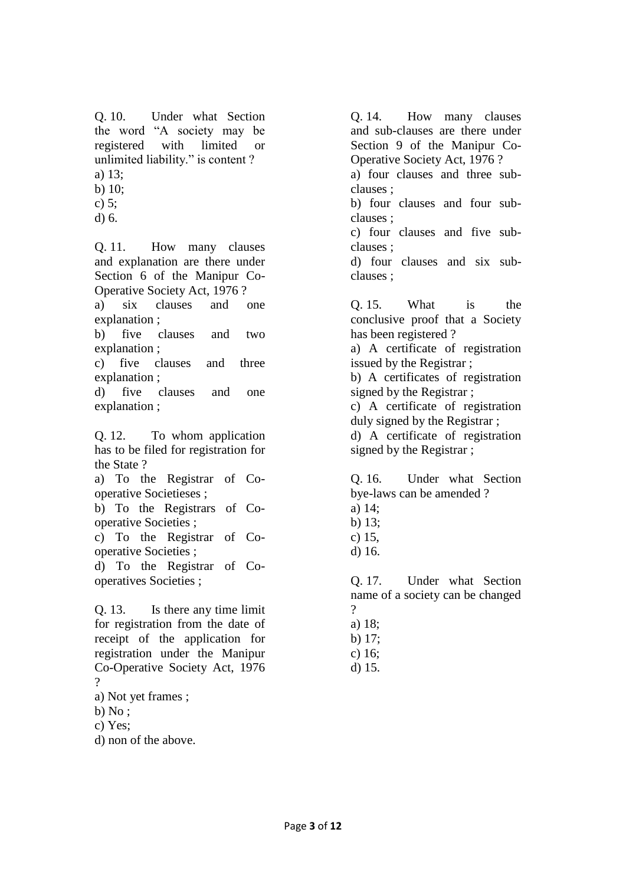- Q. 10. Under what Section the word "A society may be registered with limited or unlimited liability." is content ? a) 13;
- b) 10;
- c) 5;
- d) 6.

Q. 11. How many clauses and explanation are there under Section 6 of the Manipur Co-Operative Society Act, 1976 ? a) six clauses and one explanation ;

b) five clauses and two explanation ;

c) five clauses and three explanation ;

d) five clauses and one explanation ;

Q. 12. To whom application has to be filed for registration for the State ?

a) To the Registrar of Cooperative Societieses ;

b) To the Registrars of Cooperative Societies ;

c) To the Registrar of Cooperative Societies ;

d) To the Registrar of Cooperatives Societies ;

Q. 13. Is there any time limit for registration from the date of receipt of the application for registration under the Manipur Co-Operative Society Act, 1976  $\gamma$ 

- a) Not yet frames ;
- $b) No;$
- c) Yes;
- d) non of the above.

Q. 14. How many clauses and sub-clauses are there under Section 9 of the Manipur Co-Operative Society Act, 1976 ? a) four clauses and three subclauses ; b) four clauses and four subclauses ; c) four clauses and five subclauses ; d) four clauses and six subclauses ;

Q. 15. What is the conclusive proof that a Society has been registered ? a) A certificate of registration issued by the Registrar ; b) A certificates of registration signed by the Registrar ; c) A certificate of registration duly signed by the Registrar ; d) A certificate of registration signed by the Registrar ;

Q. 16. Under what Section bye-laws can be amended ? a) 14;

- b) 13;
- c) 15,
- d) 16.

Q. 17. Under what Section name of a society can be changed  $\gamma$ 

- a) 18;
- b) 17;
- c) 16;
- d) 15.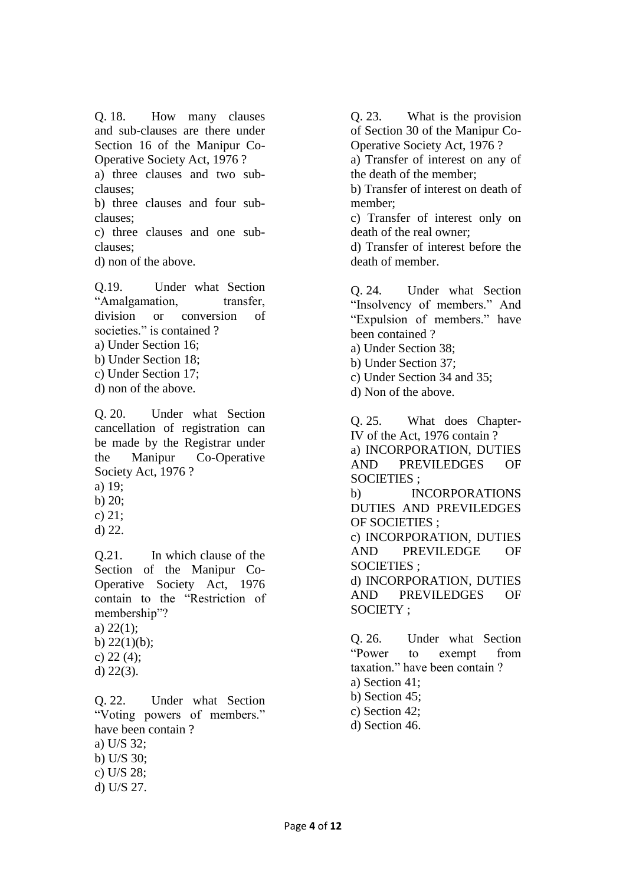Q. 18. How many clauses and sub-clauses are there under Section 16 of the Manipur Co-Operative Society Act, 1976 ? a) three clauses and two subclauses; b) three clauses and four subclauses; c) three clauses and one subclauses; d) non of the above.

Q.19. Under what Section "Amalgamation, transfer, division or conversion of societies." is contained ? a) Under Section 16; b) Under Section 18; c) Under Section 17; d) non of the above.

Q. 20. Under what Section cancellation of registration can be made by the Registrar under the Manipur Co-Operative Society Act, 1976 ?

- a) 19;
- b) 20;
- c) 21;
- d) 22.

Q.21. In which clause of the Section of the Manipur Co-Operative Society Act, 1976 contain to the "Restriction of membership"?

a) 22(1); b)  $22(1)(b)$ ;

- c)  $22(4)$ ;
- d) 22(3).

Q. 22. Under what Section "Voting powers of members." have been contain ? a) U/S 32; b) U/S 30; c) U/S 28; d) U/S 27.

Q. 23. What is the provision of Section 30 of the Manipur Co-Operative Society Act, 1976 ?

a) Transfer of interest on any of the death of the member;

b) Transfer of interest on death of member;

c) Transfer of interest only on death of the real owner;

d) Transfer of interest before the death of member.

Q. 24. Under what Section "Insolvency of members." And "Expulsion of members." have been contained ?

- a) Under Section 38;
- b) Under Section 37;
- c) Under Section 34 and 35;
- d) Non of the above.

Q. 25. What does Chapter-IV of the Act, 1976 contain ? a) INCORPORATION, DUTIES AND PREVILEDGES OF SOCIETIES ; b) INCORPORATIONS DUTIES AND PREVILEDGES OF SOCIETIES ; c) INCORPORATION, DUTIES AND PREVILEDGE OF SOCIETIES ; d) INCORPORATION, DUTIES AND PREVILEDGES OF SOCIETY ;

Q. 26. Under what Section "Power to exempt from taxation." have been contain ? a) Section 41; b) Section 45; c) Section 42; d) Section 46.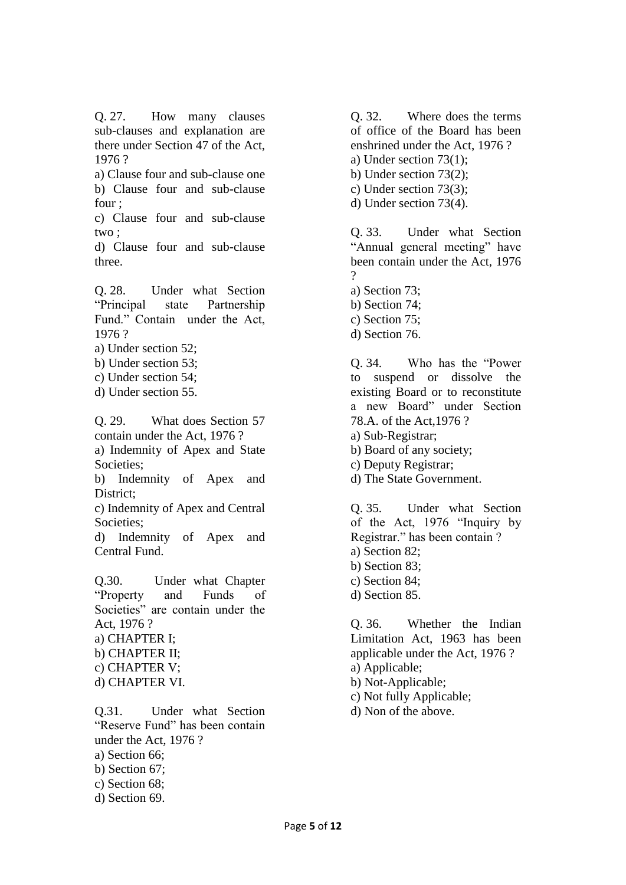Q. 27. How many clauses sub-clauses and explanation are there under Section 47 of the Act, 1976 ?

a) Clause four and sub-clause one b) Clause four and sub-clause four ;

c) Clause four and sub-clause two ;

d) Clause four and sub-clause three.

Q. 28. Under what Section "Principal state Partnership Fund." Contain under the Act, 1976 ?

a) Under section 52;

b) Under section 53;

c) Under section 54;

d) Under section 55.

Q. 29. What does Section 57 contain under the Act, 1976 ? a) Indemnity of Apex and State Societies;

b) Indemnity of Apex and District;

c) Indemnity of Apex and Central Societies;

d) Indemnity of Apex and Central Fund.

Q.30. Under what Chapter "Property and Funds of Societies" are contain under the Act, 1976 ? a) CHAPTER I; b) CHAPTER II; c) CHAPTER V; d) CHAPTER VI.

Q.31. Under what Section "Reserve Fund" has been contain under the Act, 1976 ? a) Section 66; b) Section 67; c) Section 68; d) Section 69.

Q. 32. Where does the terms of office of the Board has been enshrined under the Act, 1976 ? a) Under section 73(1);

b) Under section 73(2);

c) Under section 73(3);

d) Under section 73(4).

Q. 33. Under what Section "Annual general meeting" have been contain under the Act, 1976  $\Omega$ 

a) Section 73;

b) Section 74;

c) Section 75;

d) Section 76.

Q. 34. Who has the "Power to suspend or dissolve the existing Board or to reconstitute a new Board" under Section 78.A. of the Act,1976 ? a) Sub-Registrar; b) Board of any society; c) Deputy Registrar; d) The State Government.

Q. 35. Under what Section of the Act, 1976 "Inquiry by Registrar." has been contain ? a) Section 82; b) Section 83; c) Section 84; d) Section 85.

Q. 36. Whether the Indian Limitation Act, 1963 has been applicable under the Act, 1976 ? a) Applicable; b) Not-Applicable; c) Not fully Applicable; d) Non of the above.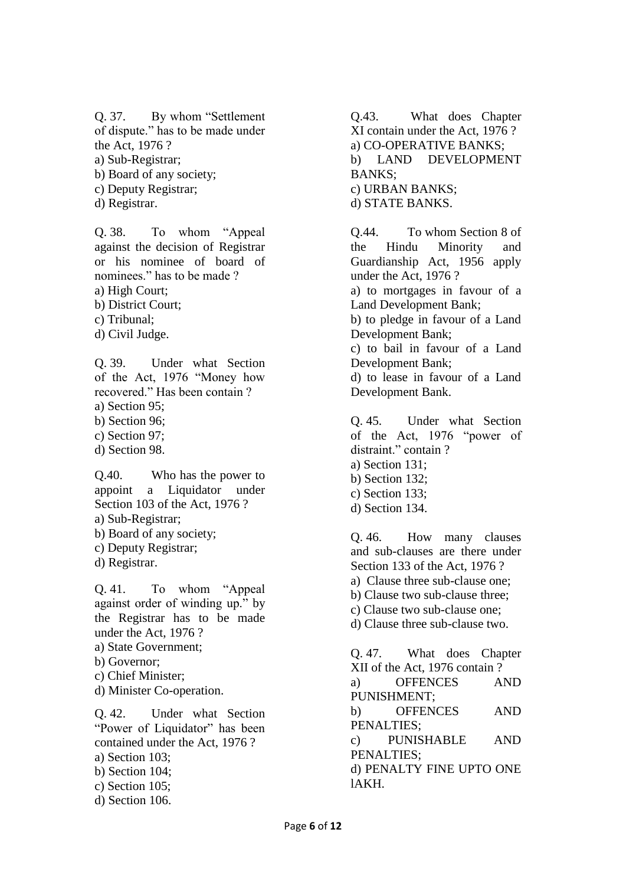- Q. 37. By whom "Settlement of dispute." has to be made under the Act, 1976 ?
- a) Sub-Registrar;
- b) Board of any society;
- c) Deputy Registrar;
- d) Registrar.

Q. 38. To whom "Appeal against the decision of Registrar or his nominee of board of nominees." has to be made ?

- a) High Court;
- b) District Court;
- c) Tribunal;
- d) Civil Judge.

Q. 39. Under what Section of the Act, 1976 "Money how recovered." Has been contain ?

- a) Section 95;
- b) Section 96;
- c) Section 97;
- d) Section 98.

Q.40. Who has the power to appoint a Liquidator under Section 103 of the Act, 1976 ? a) Sub-Registrar;

- b) Board of any society;
- c) Deputy Registrar;
- d) Registrar.

Q. 41. To whom "Appeal against order of winding up." by the Registrar has to be made under the Act, 1976 ? a) State Government; b) Governor; c) Chief Minister; d) Minister Co-operation. Q. 42. Under what Section

"Power of Liquidator" has been contained under the Act, 1976 ? a) Section 103; b) Section 104; c) Section 105; d) Section 106.

Q.43. What does Chapter XI contain under the Act, 1976 ? a) CO-OPERATIVE BANKS; b) LAND DEVELOPMENT BANKS; c) URBAN BANKS; d) STATE BANKS.

Q.44. To whom Section 8 of the Hindu Minority and Guardianship Act, 1956 apply under the Act, 1976 ? a) to mortgages in favour of a Land Development Bank; b) to pledge in favour of a Land Development Bank; c) to bail in favour of a Land Development Bank; d) to lease in favour of a Land Development Bank.

Q. 45. Under what Section of the Act, 1976 "power of distraint." contain ? a) Section 131; b) Section 132; c) Section 133; d) Section 134.

Q. 46. How many clauses and sub-clauses are there under Section 133 of the Act, 1976 ? a) Clause three sub-clause one; b) Clause two sub-clause three; c) Clause two sub-clause one; d) Clause three sub-clause two.

Q. 47. What does Chapter XII of the Act, 1976 contain ? a) OFFENCES AND PUNISHMENT; b) OFFENCES AND PENALTIES; c) PUNISHABLE AND PENALTIES; d) PENALTY FINE UPTO ONE lAKH.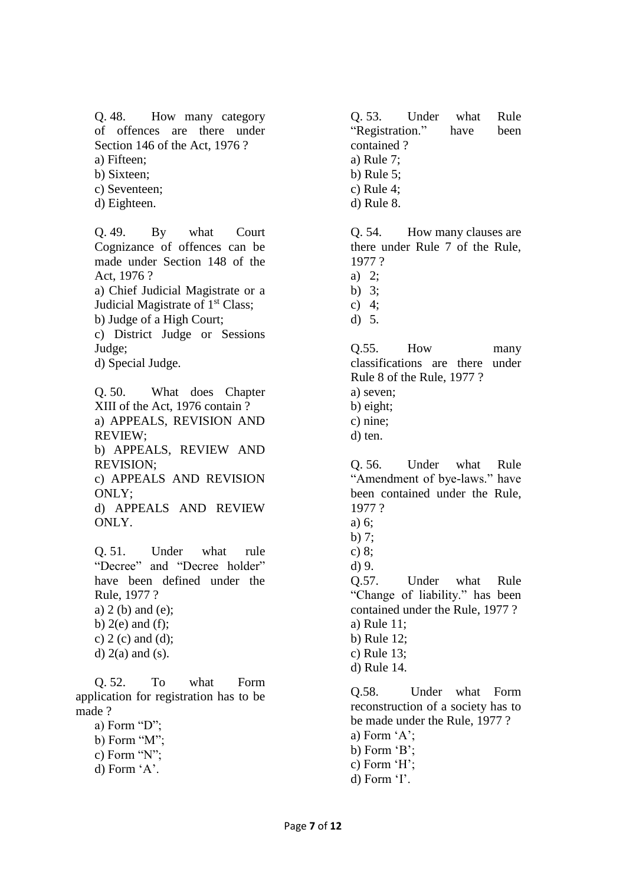Q. 48. How many category of offences are there under Section 146 of the Act, 1976 ? a) Fifteen;

b) Sixteen;

- c) Seventeen;
- d) Eighteen.

Q. 49. By what Court Cognizance of offences can be made under Section 148 of the Act, 1976 ?

a) Chief Judicial Magistrate or a Judicial Magistrate of 1<sup>st</sup> Class;

b) Judge of a High Court;

c) District Judge or Sessions Judge;

d) Special Judge.

Q. 50. What does Chapter XIII of the Act, 1976 contain ? a) APPEALS, REVISION AND REVIEW; b) APPEALS, REVIEW AND

REVISION;

c) APPEALS AND REVISION ONLY;

d) APPEALS AND REVIEW ONLY.

Q. 51. Under what rule "Decree" and "Decree holder" have been defined under the Rule, 1977 ? a) 2 (b) and (e); b)  $2(e)$  and  $(f)$ ; c)  $2$  (c) and (d); d)  $2(a)$  and  $(s)$ .

Q. 52. To what Form application for registration has to be made ?

a) Form "D"; b) Form "M";

- c) Form "N";
- d) Form 'A'.

Q. 53. Under what Rule "Registration." have been contained ? a) Rule 7; b) Rule 5; c) Rule 4; d) Rule 8.

Q. 54. How many clauses are there under Rule 7 of the Rule, 1977 ? a) 2;

b) 3;

- c) 4;
- d) 5.

Q.55. How many classifications are there under Rule 8 of the Rule, 1977 ? a) seven; b) eight; c) nine;

d) ten.

Q. 56. Under what Rule "Amendment of bye-laws." have been contained under the Rule, 1977 ?

- a) 6;
- b) 7;
- c) 8;

d) 9.

Q.57. Under what Rule "Change of liability." has been contained under the Rule, 1977 ? a) Rule 11; b) Rule 12; c) Rule 13; d) Rule 14.

Q.58. Under what Form reconstruction of a society has to be made under the Rule, 1977 ? a) Form 'A'; b) Form 'B'; c) Form 'H'; d) Form 'I'.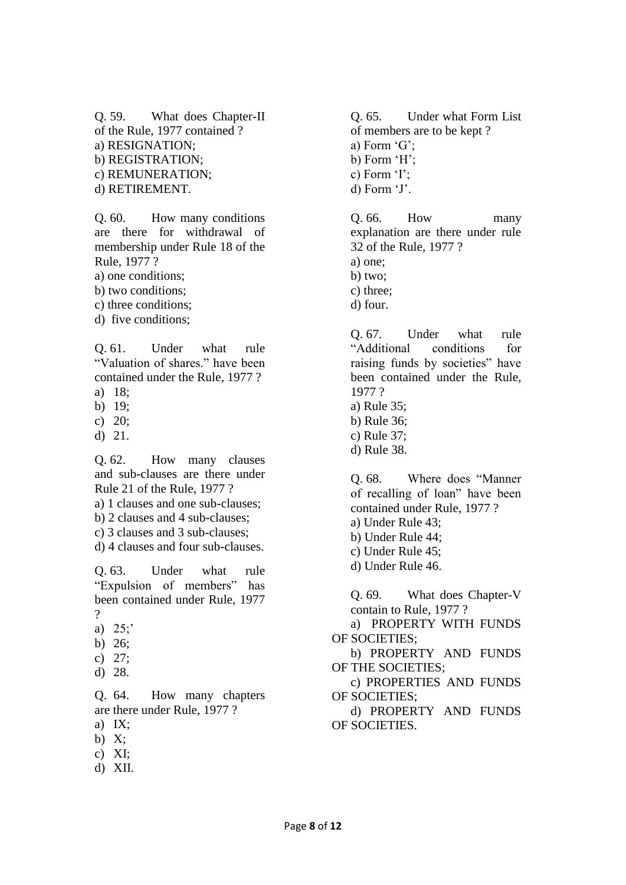Q. 59. What does Chapter-II of the Rule, 1977 contained ? a) RESIGNATION; b) REGISTRATION; c) REMUNERATION; d) RETIREMENT.

Q. 60. How many conditions are there for withdrawal of membership under Rule 18 of the Rule, 1977 ?

a) one conditions;

b) two conditions;

c) three conditions;

d) five conditions;

Q. 61. Under what rule "Valuation of shares." have been contained under the Rule, 1977 ?

a) 18;

- b) 19;
- c) 20;
- d) 21.

Q. 62. How many clauses and sub-clauses are there under Rule 21 of the Rule, 1977 ?

a) 1 clauses and one sub-clauses;

- b) 2 clauses and 4 sub-clauses;
- c) 3 clauses and 3 sub-clauses;
- d) 4 clauses and four sub-clauses.

Q. 63. Under what rule "Expulsion of members" has been contained under Rule, 1977 ?

- a) 25;'
- b) 26;
- c) 27;
- d) 28.

Q. 64. How many chapters are there under Rule, 1977 ?

- a) IX;
- b) X;
- c) XI;
- d) XII.

Q. 65. Under what Form List of members are to be kept ? a) Form 'G'; b) Form 'H'; c) Form 'I'; d) Form 'J'.

Q. 66. How many explanation are there under rule 32 of the Rule, 1977 ? a) one; b) two; c) three; d) four.

Q. 67. Under what rule "Additional conditions for raising funds by societies" have been contained under the Rule, 1977 ? a) Rule 35;

- b) Rule 36;
- c) Rule 37;
- d) Rule 38.

Q. 68. Where does "Manner of recalling of loan" have been contained under Rule, 1977 ? a) Under Rule 43;

- b) Under Rule 44;
- c) Under Rule 45;
- d) Under Rule 46.

Q. 69. What does Chapter-V contain to Rule, 1977 ?

a) PROPERTY WITH FUNDS OF SOCIETIES;

b) PROPERTY AND FUNDS OF THE SOCIETIES;

c) PROPERTIES AND FUNDS OF SOCIETIES;

d) PROPERTY AND FUNDS OF SOCIETIES.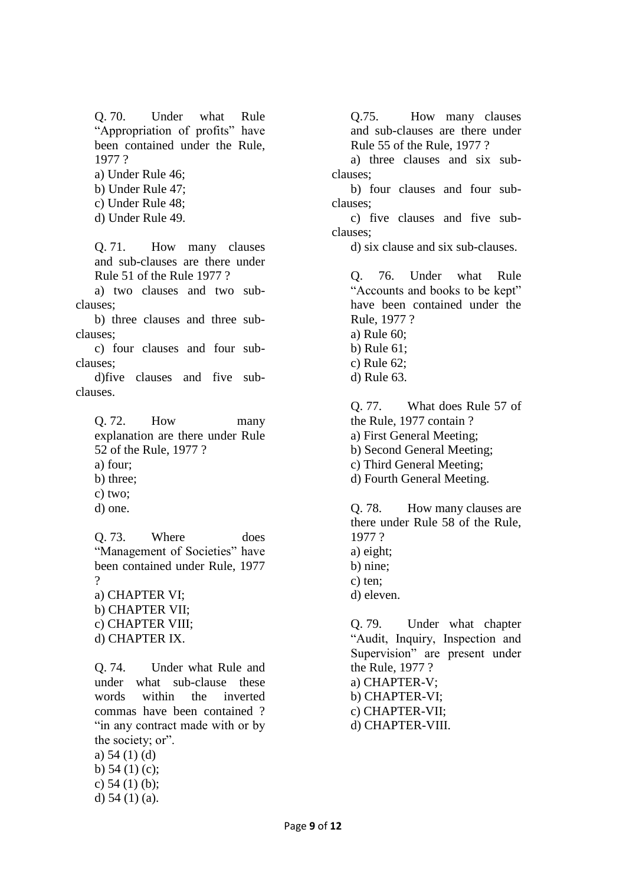Q. 70. Under what Rule "Appropriation of profits" have been contained under the Rule, 1977 ?

a) Under Rule 46;

b) Under Rule 47;

c) Under Rule 48;

d) Under Rule 49.

Q. 71. How many clauses and sub-clauses are there under Rule 51 of the Rule 1977 ?

a) two clauses and two subclauses;

b) three clauses and three subclauses;

c) four clauses and four subclauses;

d)five clauses and five subclauses.

Q. 72. How many explanation are there under Rule 52 of the Rule, 1977 ? a) four; b) three;

c) two;

d) one.

Q. 73. Where does "Management of Societies" have been contained under Rule, 1977  $\gamma$ a) CHAPTER VI;

b) CHAPTER VII; c) CHAPTER VIII; d) CHAPTER IX.

Q. 74. Under what Rule and under what sub-clause these words within the inverted commas have been contained ? "in any contract made with or by the society; or".

a) 54 (1) (d) b) 54 (1) (c); c) 54 (1) (b); d) 54 (1) (a).

Q.75. How many clauses and sub-clauses are there under Rule 55 of the Rule, 1977 ?

a) three clauses and six subclauses;

b) four clauses and four subclauses;

c) five clauses and five subclauses;

d) six clause and six sub-clauses.

Q. 76. Under what Rule "Accounts and books to be kept" have been contained under the Rule, 1977 ? a) Rule 60; b) Rule 61; c) Rule 62; d) Rule 63.

Q. 77. What does Rule 57 of the Rule, 1977 contain ? a) First General Meeting; b) Second General Meeting; c) Third General Meeting; d) Fourth General Meeting.

Q. 78. How many clauses are there under Rule 58 of the Rule, 1977 ? a) eight; b) nine; c) ten; d) eleven.

Q. 79. Under what chapter "Audit, Inquiry, Inspection and Supervision" are present under the Rule, 1977 ? a) CHAPTER-V; b) CHAPTER-VI; c) CHAPTER-VII; d) CHAPTER-VIII.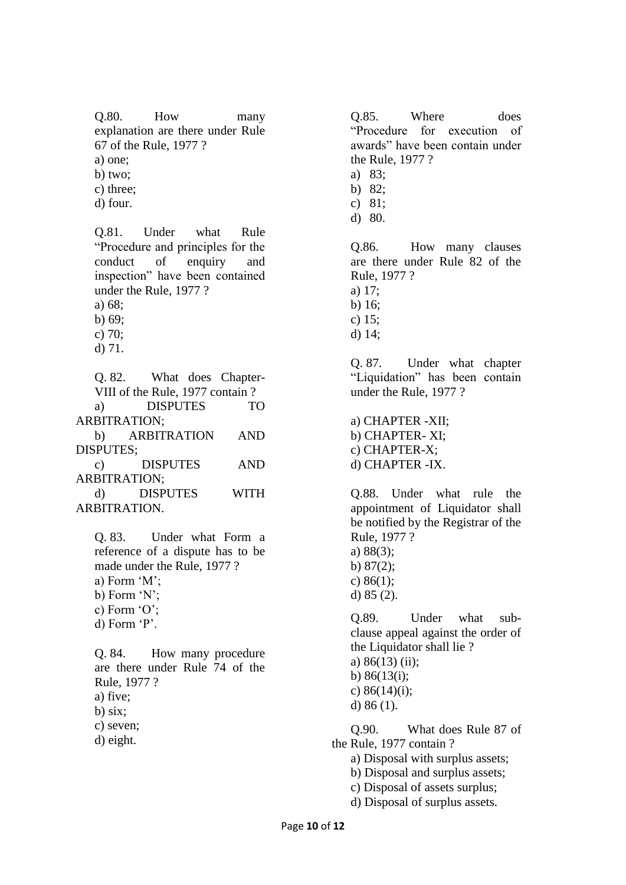Q.80. How many explanation are there under Rule 67 of the Rule, 1977 ? a) one;

b) two;

c) three;

d) four.

Q.81. Under what Rule "Procedure and principles for the conduct of enquiry and inspection" have been contained under the Rule, 1977 ? a) 68;

b) 69;

c) 70; d) 71.

Q. 82. What does Chapter-VIII of the Rule, 1977 contain ? a) DISPUTES TO ARBITRATION; b) ARBITRATION AND DISPUTES; c) DISPUTES AND ARBITRATION;

d) DISPUTES WITH ARBITRATION.

Q. 83. Under what Form a reference of a dispute has to be made under the Rule, 1977 ? a) Form 'M'; b) Form 'N'; c) Form 'O'; d) Form 'P'.

Q. 84. How many procedure are there under Rule 74 of the Rule, 1977 ? a) five; b) six; c) seven; d) eight.

Q.85. Where does "Procedure for execution of awards" have been contain under the Rule, 1977 ?

- a) 83;
- b) 82;
- c) 81;
- d) 80.

Q.86. How many clauses are there under Rule 82 of the Rule, 1977 ? a) 17;

- b) 16;
- c) 15;
- d) 14;

Q. 87. Under what chapter "Liquidation" has been contain under the Rule, 1977 ?

a) CHAPTER -XII; b) CHAPTER- XI; c) CHAPTER-X; d) CHAPTER -IX.

Q.88. Under what rule the appointment of Liquidator shall be notified by the Registrar of the Rule, 1977 ? a) 88(3); b) 87(2); c) 86(1); d) 85 (2).

Q.89. Under what subclause appeal against the order of the Liquidator shall lie ? a) 86(13) (ii); b) 86(13(i); c)  $86(14)(i)$ ; d) 86 (1).

Q.90. What does Rule 87 of the Rule, 1977 contain ? a) Disposal with surplus assets; b) Disposal and surplus assets; c) Disposal of assets surplus;

d) Disposal of surplus assets.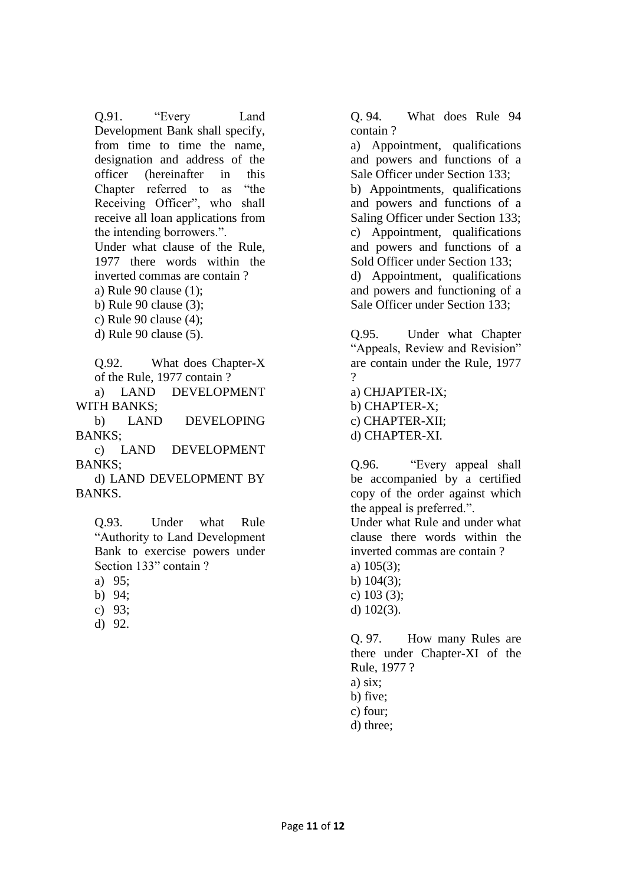Q.91. "Every Land Development Bank shall specify, from time to time the name, designation and address of the officer (hereinafter in this Chapter referred to as "the Receiving Officer", who shall receive all loan applications from the intending borrowers.".

Under what clause of the Rule, 1977 there words within the inverted commas are contain ?

a) Rule 90 clause (1);

b) Rule 90 clause (3);

c) Rule 90 clause (4);

d) Rule 90 clause (5).

Q.92. What does Chapter-X of the Rule, 1977 contain ?

a) LAND DEVELOPMENT WITH BANKS;

b) LAND DEVELOPING BANKS;

c) LAND DEVELOPMENT BANKS;

d) LAND DEVELOPMENT BY BANKS.

Q.93. Under what Rule "Authority to Land Development Bank to exercise powers under Section 133" contain ?

a) 95;

- b) 94;
- c) 93;
- d) 92.

Q. 94. What does Rule 94 contain ?

a) Appointment, qualifications and powers and functions of a Sale Officer under Section 133; b) Appointments, qualifications and powers and functions of a Saling Officer under Section 133; c) Appointment, qualifications and powers and functions of a Sold Officer under Section 133; d) Appointment, qualifications and powers and functioning of a Sale Officer under Section 133;

Q.95. Under what Chapter "Appeals, Review and Revision" are contain under the Rule, 1977 ?

a) CHJAPTER-IX; b) CHAPTER-X; c) CHAPTER-XII; d) CHAPTER-XI.

Q.96. "Every appeal shall be accompanied by a certified copy of the order against which the appeal is preferred.".

Under what Rule and under what clause there words within the inverted commas are contain ?

- a) 105(3);
- b) 104(3); c) 103 (3);

d) 102(3).

Q. 97. How many Rules are there under Chapter-XI of the Rule, 1977 ?

a) six;

b) five;

c) four;

d) three;